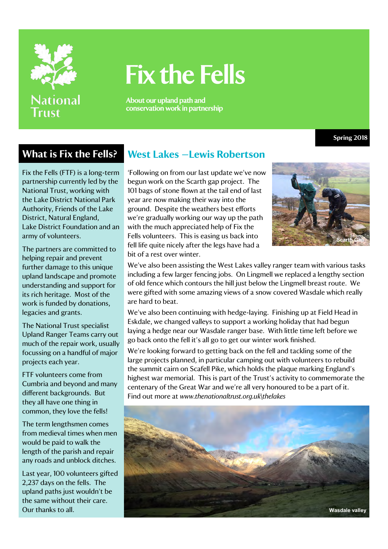

# Fix the Fells

About our upland path and conservation work in partnership

**Spring 2018**

Fix the Fells (FTF) is a long-term partnership currently led by the National Trust, working with the Lake District National Park Authority, Friends of the Lake District, Natural England, Lake District Foundation and an army of volunteers.

The partners are committed to helping repair and prevent further damage to this unique upland landscape and promote understanding and support for its rich heritage. Most of the work is funded by donations, legacies and grants.

The National Trust specialist Upland Ranger Teams carry out much of the repair work, usually focussing on a handful of major projects each year.

FTF volunteers come from Cumbria and beyond and many different backgrounds. But they all have one thing in common, they love the fells!

The term lengthsmen comes from medieval times when men would be paid to walk the length of the parish and repair any roads and unblock ditches.

Last year, 100 volunteers gifted 2,237 days on the fells. The upland paths just wouldn't be the same without their care. Our thanks to all.

### **What is Fix the Fells? West Lakes —Lewis Robertson**

'Following on from our last update we've now begun work on the Scarth gap project. The 101 bags of stone flown at the tail end of last year are now making their way into the ground. Despite the weathers best efforts we're gradually working our way up the path with the much appreciated help of Fix the Fells volunteers. This is easing us back into fell life quite nicely after the legs have had a bit of a rest over winter.



We've also been assisting the West Lakes valley ranger team with various tasks including a few larger fencing jobs. On Lingmell we replaced a lengthy section of old fence which contours the hill just below the Lingmell breast route. We were gifted with some amazing views of a snow covered Wasdale which really are hard to beat.

We've also been continuing with hedge-laying. Finishing up at Field Head in Eskdale, we changed valleys to support a working holiday that had begun laying a hedge near our Wasdale ranger base. With little time left before we go back onto the fell it's all go to get our winter work finished.

We're looking forward to getting back on the fell and tackling some of the large projects planned, in particular camping out with volunteers to rebuild the summit cairn on Scafell Pike, which holds the plaque marking England's highest war memorial. This is part of the Trust's activity to commemorate the centenary of the Great War and we're all very honoured to be a part of it. Find out more at *www.thenationaltrust.org.uk\thelakes*

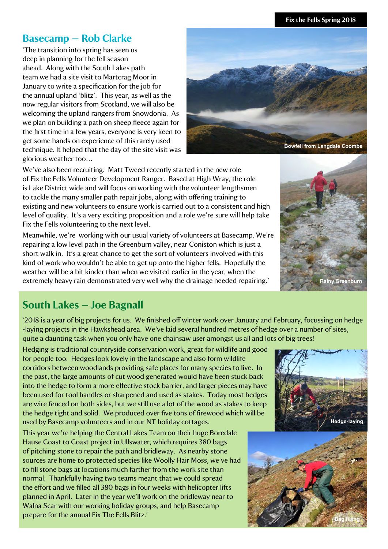#### **Fix the Fells Spring 2018**

#### **Basecamp — Rob Clarke**

'The transition into spring has seen us deep in planning for the fell season ahead. Along with the South Lakes path team we had a site visit to Martcrag Moor in January to write a specification for the job for the annual upland 'blitz'. This year, as well as the now regular visitors from Scotland, we will also be welcoming the upland rangers from Snowdonia. As we plan on building a path on sheep fleece again for the first time in a few years, everyone is very keen to get some hands on experience of this rarely used technique. It helped that the day of the site visit was glorious weather too…



We've also been recruiting. Matt Tweed recently started in the new role of Fix the Fells Volunteer Development Ranger. Based at High Wray, the role is Lake District wide and will focus on working with the volunteer lengthsmen to tackle the many smaller path repair jobs, along with offering training to existing and new volunteers to ensure work is carried out to a consistent and high level of quality. It's a very exciting proposition and a role we're sure will help take Fix the Fells volunteering to the next level.

Meanwhile, we're working with our usual variety of volunteers at Basecamp. We're repairing a low level path in the Greenburn valley, near Coniston which is just a short walk in. It's a great chance to get the sort of volunteers involved with this kind of work who wouldn't be able to get up onto the higher fells. Hopefully the weather will be a bit kinder than when we visited earlier in the year, when the extremely heavy rain demonstrated very well why the drainage needed repairing.'



### **South Lakes - Joe Bagnall**

'2018 is a year of big projects for us. We finished off winter work over January and February, focussing on hedge -laying projects in the Hawkshead area. We've laid several hundred metres of hedge over a number of sites, quite a daunting task when you only have one chainsaw user amongst us all and lots of big trees!

Hedging is traditional countryside conservation work, great for wildlife and good for people too. Hedges look lovely in the landscape and also form wildlife corridors between woodlands providing safe places for many species to live. In the past, the large amounts of cut wood generated would have been stuck back into the hedge to form a more effective stock barrier, and larger pieces may have been used for tool handles or sharpened and used as stakes. Today most hedges are wire fenced on both sides, but we still use a lot of the wood as stakes to keep the hedge tight and solid. We produced over five tons of firewood which will be used by Basecamp volunteers and in our NT holiday cottages.

This year we're helping the Central Lakes Team on their huge Boredale Hause Coast to Coast project in Ullswater, which requires 380 bags of pitching stone to repair the path and bridleway. As nearby stone sources are home to protected species like Woolly Hair Moss, we've had to fill stone bags at locations much farther from the work site than normal. Thankfully having two teams meant that we could spread the effort and we filled all 380 bags in four weeks with helicopter lifts planned in April. Later in the year we'll work on the bridleway near to Walna Scar with our working holiday groups, and help Basecamp prepare for the annual Fix The Fells Blitz.'



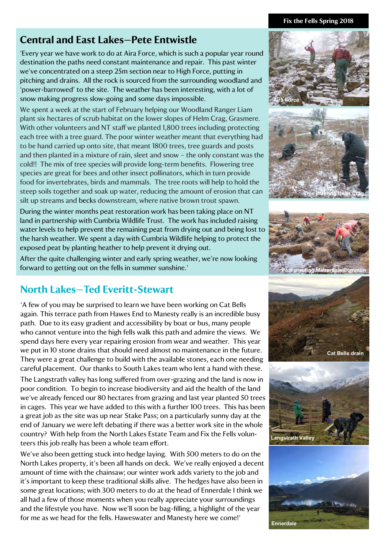#### **Fix the Fells Spring 2018**

### **Central and East Lakes—Pete Entwistle**

'Every year we have work to do at Aira Force, which is such a popular year round destination the paths need constant maintenance and repair. This past winter we've concentrated on a steep 25m section near to High Force, putting in pitching and drains. All the rock is sourced from the surrounding woodland and 'power-barrowed' to the site. The weather has been interesting, with a lot of snow making progress slow-going and some days impossible.

We spent a week at the start of February helping our Woodland Ranger Liam plant six hectares of scrub habitat on the lower slopes of Helm Crag, Grasmere. With other volunteers and NT staff we planted 1,800 trees including protecting each tree with a tree guard. The poor winter weather meant that everything had to be hand carried up onto site, that meant 1800 trees, tree guards and posts and then planted in a mixture of rain, sleet and snow – the only constant was the cold!! The mix of tree species will provide long-term benefits. Flowering tree species are great for bees and other insect pollinators, which in turn provide food for invertebrates, birds and mammals. The tree roots will help to hold the steep soils together and soak up water, reducing the amount of erosion that can silt up streams and becks downstream, where native brown trout spawn.

During the winter months peat restoration work has been taking place on NT land in partnership with Cumbria Wildlife Trust. The work has included raising water levels to help prevent the remaining peat from drying out and being lost to the harsh weather. We spent a day with Cumbria Wildlife helping to protect the exposed peat by planting heather to help prevent it drying out.

After the quite challenging winter and early spring weather, we're now looking forward to getting out on the fells in summer sunshine.'

## **North Lakes—Ted Everitt-Stewart**

'A few of you may be surprised to learn we have been working on Cat Bells again. This terrace path from Hawes End to Manesty really is an incredible busy path. Due to its easy gradient and accessibility by boat or bus, many people who cannot venture into the high fells walk this path and admire the views. We spend days here every year repairing erosion from wear and weather. This year we put in 10 stone drains that should need almost no maintenance in the future. They were a great challenge to build with the available stones, each one needing careful placement. Our thanks to South Lakes team who lent a hand with these.

The Langstrath valley has long suffered from over-grazing and the land is now in poor condition. To begin to increase biodiversity and aid the health of the land we've already fenced our 80 hectares from grazing and last year planted 50 trees in cages. This year we have added to this with a further 100 trees. This has been a great job as the site was up near Stake Pass; on a particularly sunny day at the end of January we were left debating if there was a better work site in the whole country? With help from the North Lakes Estate Team and Fix the Fells volunteers this job really has been a whole team effort.

We've also been getting stuck into hedge laying. With 500 meters to do on the North Lakes property, it's been all hands on deck. We've really enjoyed a decent amount of time with the chainsaw; our winter work adds variety to the job and it's important to keep these traditional skills alive. The hedges have also been in some great locations; with 300 meters to do at the head of Ennerdale I think we all had a few of those moments when you really appreciate your surroundings and the lifestyle you have. Now we'll soon be bag-filling, a highlight of the year for me as we head for the fells. Haweswater and Manesty here we come!'



**Ennerdale**